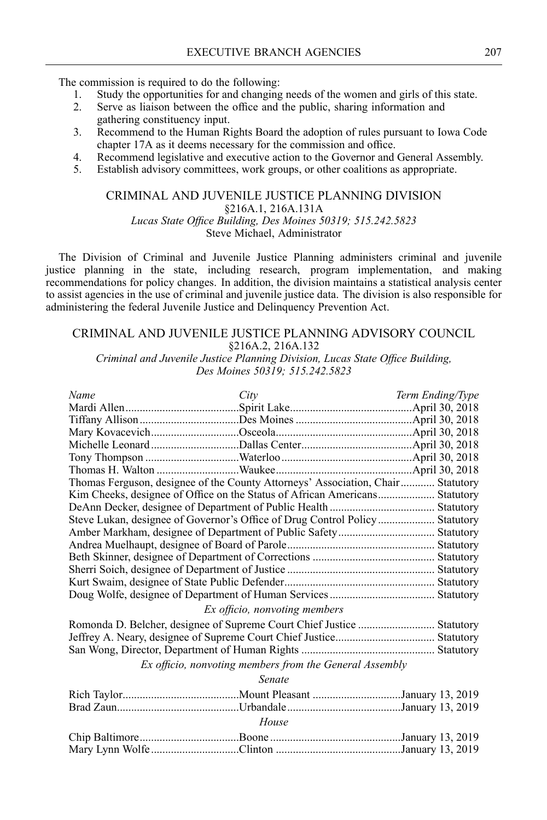The commission is required to do the following:

- 1. Study the opportunities for and changing needs of the women and girls of this state.
- 2. Serve as liaison between the office and the public, sharing information and gathering constituency input.
- 3. Recommend to the Human Rights Board the adoption of rules pursuan<sup>t</sup> to Iowa Code [chapter](https://www.legis.iowa.gov/docs/code/17a.pdf) 17A as it deems necessary for the commission and office.
- 4. Recommend legislative and executive action to the Governor and General Assembly.
- 5. Establish advisory committees, work groups, or other coalitions as appropriate.

## CRIMINAL AND JUVENILE JUSTICE PLANNING DIVISION [§216A.1,](https://www.legis.iowa.gov/docs/code/216a.1.pdf) [216A.131A](https://www.legis.iowa.gov/docs/code/216a.131a.pdf) *Lucas State Office Building, Des Moines 50319; 515.242.5823* Steve Michael, Administrator

The Division of Criminal and Juvenile Justice Planning administers criminal and juvenile justice planning in the state, including research, program implementation, and making recommendations for policy changes. In addition, the division maintains <sup>a</sup> statistical analysis center to assist agencies in the use of criminal and juvenile justice data. The division is also responsible for administering the federal Juvenile Justice and Delinquency Prevention Act.

## CRIMINAL AND JUVENILE JUSTICE PLANNING ADVISORY COUNCIL [§216A.2,](https://www.legis.iowa.gov/docs/code/216a.2.pdf) [216A.132](https://www.legis.iowa.gov/docs/code/216a.132.pdf)

*Criminal and Juvenile Justice Planning Division, Lucas State Office Building, Des Moines 50319; 515.242.5823*

| Name                                                                        | City                                                                            | Term Ending/Type |  |
|-----------------------------------------------------------------------------|---------------------------------------------------------------------------------|------------------|--|
|                                                                             |                                                                                 |                  |  |
|                                                                             |                                                                                 |                  |  |
|                                                                             |                                                                                 |                  |  |
|                                                                             |                                                                                 |                  |  |
|                                                                             |                                                                                 |                  |  |
|                                                                             |                                                                                 |                  |  |
|                                                                             | Thomas Ferguson, designee of the County Attorneys' Association, Chair Statutory |                  |  |
|                                                                             | Kim Cheeks, designee of Office on the Status of African Americans Statutory     |                  |  |
|                                                                             |                                                                                 |                  |  |
| Steve Lukan, designee of Governor's Office of Drug Control Policy Statutory |                                                                                 |                  |  |
|                                                                             |                                                                                 |                  |  |
|                                                                             |                                                                                 |                  |  |
|                                                                             |                                                                                 |                  |  |
|                                                                             |                                                                                 |                  |  |
|                                                                             |                                                                                 |                  |  |
|                                                                             |                                                                                 |                  |  |
|                                                                             | Ex officio, nonvoting members                                                   |                  |  |
|                                                                             |                                                                                 |                  |  |
|                                                                             |                                                                                 |                  |  |
|                                                                             |                                                                                 |                  |  |
| Ex officio, nonvoting members from the General Assembly                     |                                                                                 |                  |  |
|                                                                             | Senate                                                                          |                  |  |
|                                                                             |                                                                                 |                  |  |
|                                                                             |                                                                                 |                  |  |
| House                                                                       |                                                                                 |                  |  |
|                                                                             |                                                                                 |                  |  |
|                                                                             |                                                                                 |                  |  |